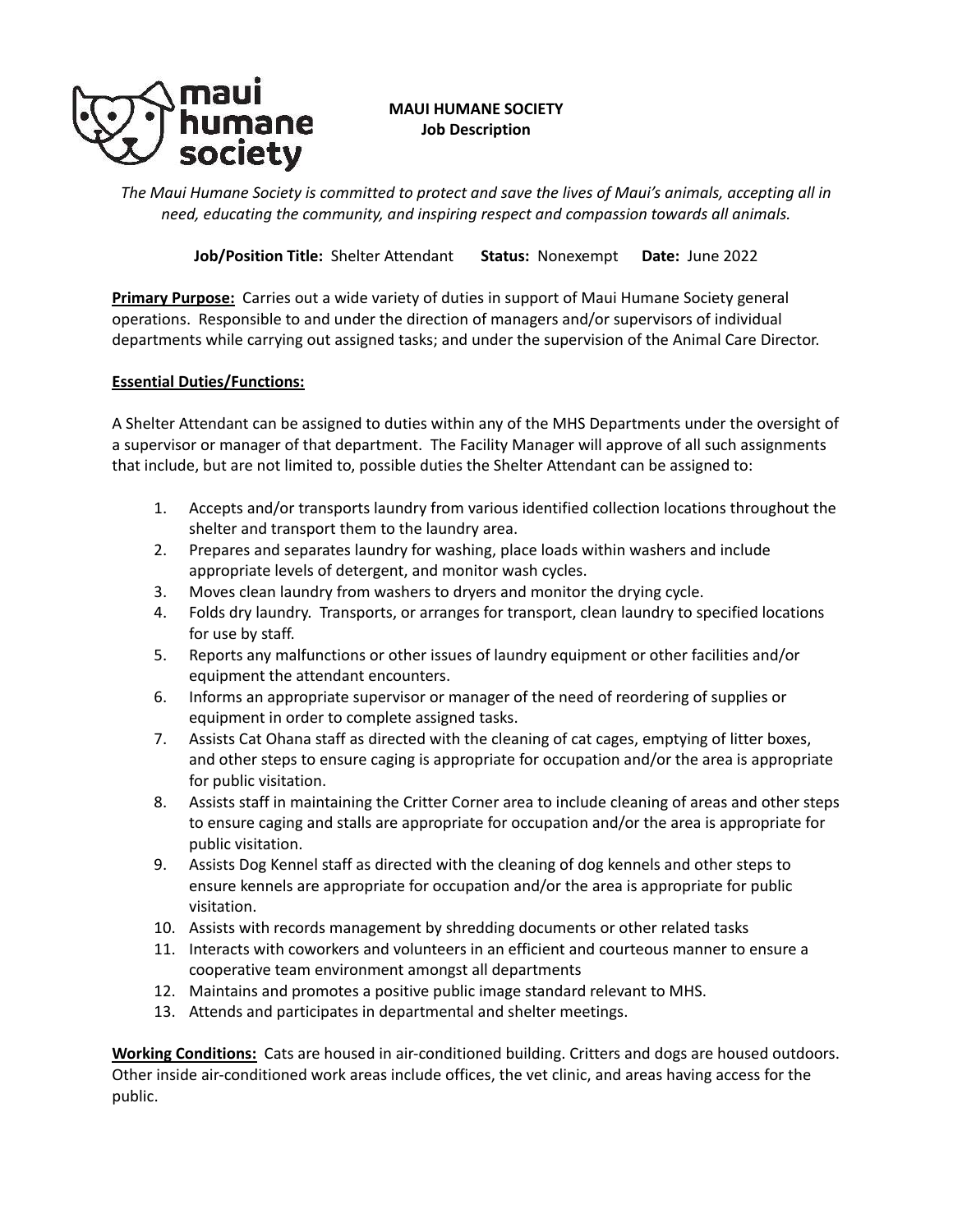

**MAUI HUMANE SOCIETY Job Description**

*The Maui Humane Society is committed to protect and save the lives of Maui's animals, accepting all in need, educating the community, and inspiring respect and compassion towards all animals.*

**Job/Position Title:** Shelter Attendant **Status:** Nonexempt **Date:** June 2022

**Primary Purpose:** Carries out a wide variety of duties in support of Maui Humane Society general operations. Responsible to and under the direction of managers and/or supervisors of individual departments while carrying out assigned tasks; and under the supervision of the Animal Care Director.

## **Essential Duties/Functions:**

A Shelter Attendant can be assigned to duties within any of the MHS Departments under the oversight of a supervisor or manager of that department. The Facility Manager will approve of all such assignments that include, but are not limited to, possible duties the Shelter Attendant can be assigned to:

- 1. Accepts and/or transports laundry from various identified collection locations throughout the shelter and transport them to the laundry area.
- 2. Prepares and separates laundry for washing, place loads within washers and include appropriate levels of detergent, and monitor wash cycles.
- 3. Moves clean laundry from washers to dryers and monitor the drying cycle.
- 4. Folds dry laundry. Transports, or arranges for transport, clean laundry to specified locations for use by staff.
- 5. Reports any malfunctions or other issues of laundry equipment or other facilities and/or equipment the attendant encounters.
- 6. Informs an appropriate supervisor or manager of the need of reordering of supplies or equipment in order to complete assigned tasks.
- 7. Assists Cat Ohana staff as directed with the cleaning of cat cages, emptying of litter boxes, and other steps to ensure caging is appropriate for occupation and/or the area is appropriate for public visitation.
- 8. Assists staff in maintaining the Critter Corner area to include cleaning of areas and other steps to ensure caging and stalls are appropriate for occupation and/or the area is appropriate for public visitation.
- 9. Assists Dog Kennel staff as directed with the cleaning of dog kennels and other steps to ensure kennels are appropriate for occupation and/or the area is appropriate for public visitation.
- 10. Assists with records management by shredding documents or other related tasks
- 11. Interacts with coworkers and volunteers in an efficient and courteous manner to ensure a cooperative team environment amongst all departments
- 12. Maintains and promotes a positive public image standard relevant to MHS.
- 13. Attends and participates in departmental and shelter meetings.

**Working Conditions:** Cats are housed in air-conditioned building. Critters and dogs are housed outdoors. Other inside air-conditioned work areas include offices, the vet clinic, and areas having access for the public.